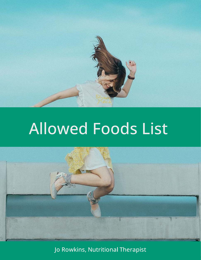



Jo Rowkins, Nutritional Therapist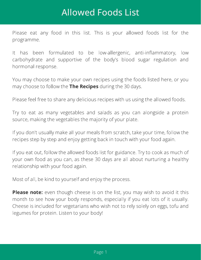Please eat any food in this list. This is your allowed foods list for the programme.

It has been formulated to be low-allergenic, anti-inflammatory, low carbohydrate and supportive of the body's blood sugar regulation and hormonal response.

You may choose to make your own recipes using the foods listed here, or you may choose to follow the The Recipes during the 30 days.

Please feel free to share any delicious recipes with us using the allowed foods.

Try to eat as many vegetables and salads as you can alongside a protein source, making the vegetables the majority of your plate.

If you don't usually make all your meals from scratch, take your time, follow the recipes step by step and enjoy getting back in touch with your food again.

If you eat out, follow the allowed foods list for guidance. Try to cook as much of your own food as you can, as these 30 days are all about nurturing a healthy relationship with your food again.

Most of all, be kind to yourself and enjoy the process.

 even though cheese is on the list, you may wish to avoid it this Please note:month to see how your body responds, especially if you eat lots of it usually. Cheese is included for vegetarians who wish not to rely solely on eggs, tofu and legumes for protein. Listen to your body!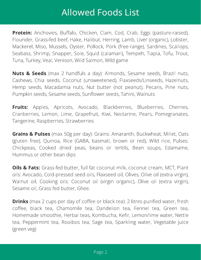Anchovies, Bualo, Chicken, Clam, Cod, Crab, Eggs (pasture-raised), Protein: Flounder, Grass-fed beef, Hake, Halibut, Herring, Lamb, Liver (organic), Lobster, Mackerel, Miso, Mussels, Oyster, Pollock, Pork (free-range), Sardines, Scallops, Seabass, Shrimp, Snapper, Sole, Squid (calamari), Tempeh, Tiapia, Tofu, Trout, Tuna, Turkey, Veal, Venison, Wild Salmon, Wild game

 (max 2 handfuls a day): Almonds, Sesame seeds, Brazil nuts, Nuts & Seeds Cashews, Chia seeds, Coconut (unsweetened), Flaxseeds/Linseeds, Hazelnuts, Hemp seeds, Macadamia nuts, Nut butter (not peanut), Pecans, Pine nuts, Pumpkin seeds, Sesame seeds, Sunflower seeds, Tahini, Walnuts

Apples, Apricots, Avocado, Blackberries, Blueberries, Cherries, Fruits: Cranberries, Lemon, Lime, Grapefruit, Kiwi, Nectarine, Pears, Pomegranates, Tangerine, Raspberries, Strawberries

 (max 50g per day): Grains: Amaranth, Buckwheat, Millet, Oats Grains & Pulses (gluten free), Quinoa, Rice (GABA, basmati, brown or red), Wild rice, Pulses: Chickpeas, Cooked dried peas, beans or lentils, Bean soups, Edamame, Hummus or other bean dips

Grass-fed butter, full fat coconut milk, coconut cream, MCT, Plant Oils & Fats: oils: Avocado, Cold-pressed seed oils, Flaxseed oil, Olives, Olive oil (extra virgin), Walnut oil, Cooking oils: Coconut oil (virgin organic), Olive oil (extra virgin), Sesame oil, Grass fed butter, Ghee.

 $\blacksquare$  . The coefficition in the coefficient of coefficient team  $\sqsubseteq$  introduced in the coefficition of  $\sqcup$ coffee, black tea, Chamomile tea, Dandelion tea, Fennel tea, Green tea, Homemade smoothie, Herbal teas, Kombucha, Kefir, Lemon/lime water, Nettle tea, Peppermint tea, Rooibos tea, Sage tea, Sparkling water, Vegetable juice (green veg)